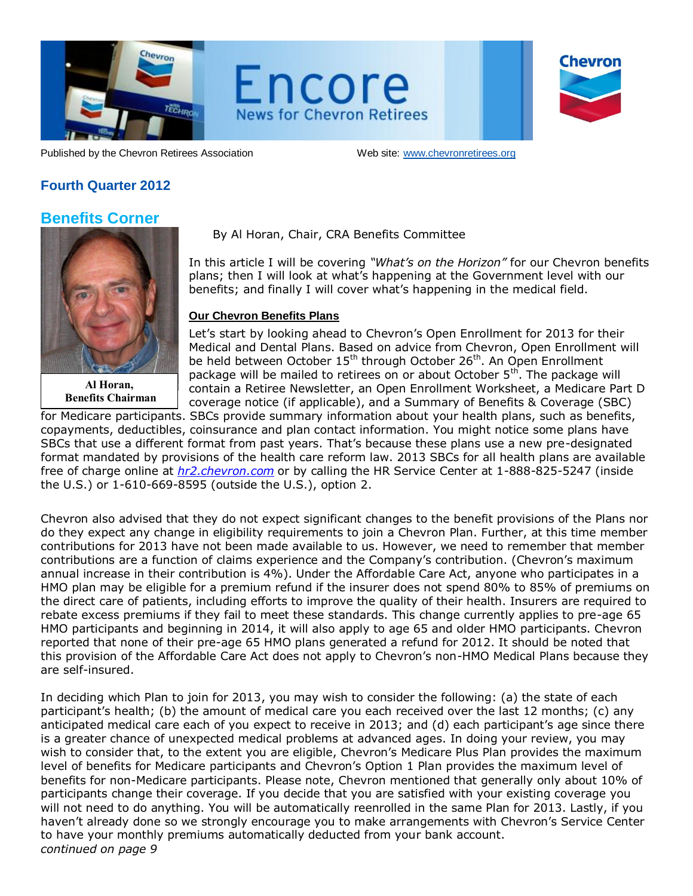

Encore **News for Chevron Retirees** 

| Chevron |
|---------|
|         |
|         |

Published by the Chevron Retirees Association Web site: www.chevronretirees.org

## **Fourth Quarter 2012**

## **Benefits Corner**



**Al Horan, Benefits Chairman** 

## By Al Horan, Chair, CRA Benefits Committee

In this article I will be covering *"What's on the Horizon"* for our Chevron benefits plans; then I will look at what's happening at the Government level with our benefits; and finally I will cover what's happening in the medical field.

## **Our Chevron Benefits Plans**

Let's start by looking ahead to Chevron's Open Enrollment for 2013 for their Medical and Dental Plans. Based on advice from Chevron, Open Enrollment will be held between October 15<sup>th</sup> through October 26<sup>th</sup>. An Open Enrollment package will be mailed to retirees on or about October 5<sup>th</sup>. The package will contain a Retiree Newsletter, an Open Enrollment Worksheet, a Medicare Part D ble coverage notice (if applicable), and a Summary of Benefits & Coverage (SBC)

for Medicare participants. SBCs provide summary information about your health plans, such as benefits, copayments, deductibles, coinsurance and plan contact information. You might notice some plans have SBCs that use a different format from past years. That's because these plans use a new pre-designated format mandated by provisions of the health care reform law. 2013 SBCs for all health plans are available free of charge online at *[hr2.chevron.com](http://www.medco.com/)* or by calling the HR Service Center at 1-888-825-5247 (inside the U.S.) or 1-610-669-8595 (outside the U.S.), option 2.

Chevron also advised that they do not expect significant changes to the benefit provisions of the Plans nor do they expect any change in eligibility requirements to join a Chevron Plan. Further, at this time member contributions for 2013 have not been made available to us. However, we need to remember that member contributions are a function of claims experience and the Company's contribution. (Chevron's maximum annual increase in their contribution is 4%). Under the Affordable Care Act, anyone who participates in a HMO plan may be eligible for a premium refund if the insurer does not spend 80% to 85% of premiums on the direct care of patients, including efforts to improve the quality of their health. Insurers are required to rebate excess premiums if they fail to meet these standards. This change currently applies to pre-age 65 HMO participants and beginning in 2014, it will also apply to age 65 and older HMO participants. Chevron reported that none of their pre-age 65 HMO plans generated a refund for 2012. It should be noted that this provision of the Affordable Care Act does not apply to Chevron's non-HMO Medical Plans because they are self-insured.

In deciding which Plan to join for 2013, you may wish to consider the following: (a) the state of each participant's health; (b) the amount of medical care you each received over the last 12 months; (c) any anticipated medical care each of you expect to receive in 2013; and (d) each participant's age since there is a greater chance of unexpected medical problems at advanced ages. In doing your review, you may wish to consider that, to the extent you are eligible, Chevron's Medicare Plus Plan provides the maximum level of benefits for Medicare participants and Chevron's Option 1 Plan provides the maximum level of benefits for non-Medicare participants. Please note, Chevron mentioned that generally only about 10% of participants change their coverage. If you decide that you are satisfied with your existing coverage you will not need to do anything. You will be automatically reenrolled in the same Plan for 2013. Lastly, if you haven't already done so we strongly encourage you to make arrangements with Chevron's Service Center to have your monthly premiums automatically deducted from your bank account. *continued on page 9*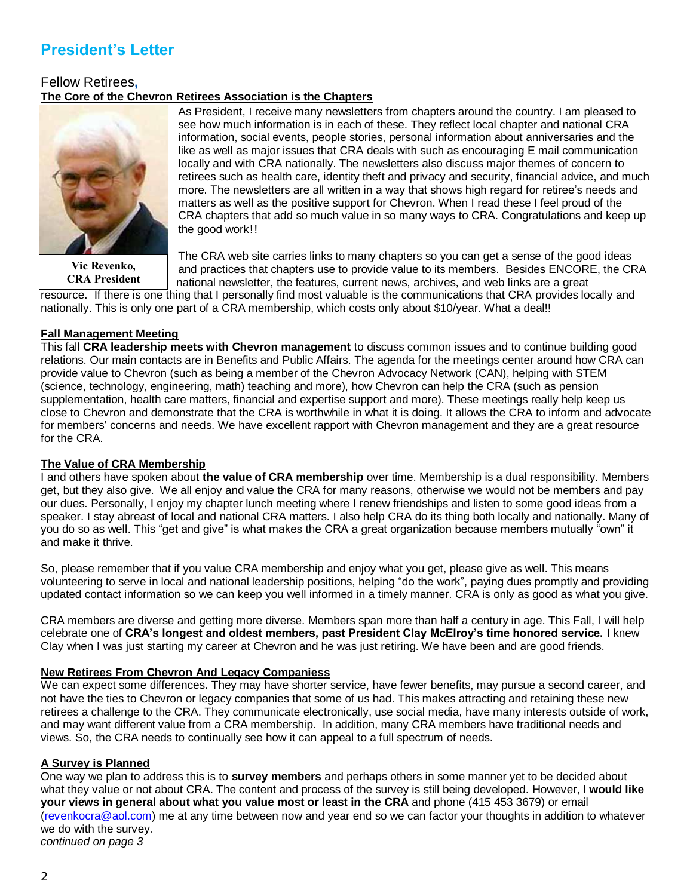# **President's Letter**

## Fellow Retirees**, The Core of the Chevron Retirees Association is the Chapters**



**Vic Revenko, CRA President**

As President, I receive many newsletters from chapters around the country. I am pleased to see how much information is in each of these. They reflect local chapter and national CRA information, social events, people stories, personal information about anniversaries and the like as well as major issues that CRA deals with such as encouraging E mail communication locally and with CRA nationally. The newsletters also discuss major themes of concern to retirees such as health care, identity theft and privacy and security, financial advice, and much more. The newsletters are all written in a way that shows high regard for retiree's needs and matters as well as the positive support for Chevron. When I read these I feel proud of the CRA chapters that add so much value in so many ways to CRA. Congratulations and keep up the good work!!

The CRA web site carries links to many chapters so you can get a sense of the good ideas and practices that chapters use to provide value to its members. Besides ENCORE, the CRA national newsletter, the features, current news, archives, and web links are a great

resource. If there is one thing that I personally find most valuable is the communications that CRA provides locally and nationally. This is only one part of a CRA membership, which costs only about \$10/year. What a deal!!

## **Fall Management Meeting**

This fall **CRA leadership meets with Chevron management** to discuss common issues and to continue building good relations. Our main contacts are in Benefits and Public Affairs. The agenda for the meetings center around how CRA can provide value to Chevron (such as being a member of the Chevron Advocacy Network (CAN), helping with STEM (science, technology, engineering, math) teaching and more), how Chevron can help the CRA (such as pension supplementation, health care matters, financial and expertise support and more). These meetings really help keep us close to Chevron and demonstrate that the CRA is worthwhile in what it is doing. It allows the CRA to inform and advocate for members' concerns and needs. We have excellent rapport with Chevron management and they are a great resource for the CRA.

## **The Value of CRA Membership**

I and others have spoken about **the value of CRA membership** over time. Membership is a dual responsibility. Members get, but they also give. We all enjoy and value the CRA for many reasons, otherwise we would not be members and pay our dues. Personally, I enjoy my chapter lunch meeting where I renew friendships and listen to some good ideas from a speaker. I stay abreast of local and national CRA matters. I also help CRA do its thing both locally and nationally. Many of you do so as well. This "get and give" is what makes the CRA a great organization because members mutually "own" it and make it thrive.

So, please remember that if you value CRA membership and enjoy what you get, please give as well. This means volunteering to serve in local and national leadership positions, helping "do the work", paying dues promptly and providing updated contact information so we can keep you well informed in a timely manner. CRA is only as good as what you give.

CRA members are diverse and getting more diverse. Members span more than half a century in age. This Fall, I will help celebrate one of **CRA's longest and oldest members, past President Clay McElroy's time honored service.** I knew Clay when I was just starting my career at Chevron and he was just retiring. We have been and are good friends.

## **New Retirees From Chevron And Legacy Companiess**

We can expect some differences**.** They may have shorter service, have fewer benefits, may pursue a second career, and not have the ties to Chevron or legacy companies that some of us had. This makes attracting and retaining these new retirees a challenge to the CRA. They communicate electronically, use social media, have many interests outside of work, and may want different value from a CRA membership. In addition, many CRA members have traditional needs and views. So, the CRA needs to continually see how it can appeal to a full spectrum of needs.

## **A Survey is Planned**

One way we plan to address this is to **survey members** and perhaps others in some manner yet to be decided about what they value or not about CRA. The content and process of the survey is still being developed. However, I **would like your views in general about what you value most or least in the CRA** and phone (415 453 3679) or email [\(revenkocra@aol.com\)](mailto:revenkocra@aol.com) me at any time between now and year end so we can factor your thoughts in addition to whatever we do with the survey. *continued on page 3*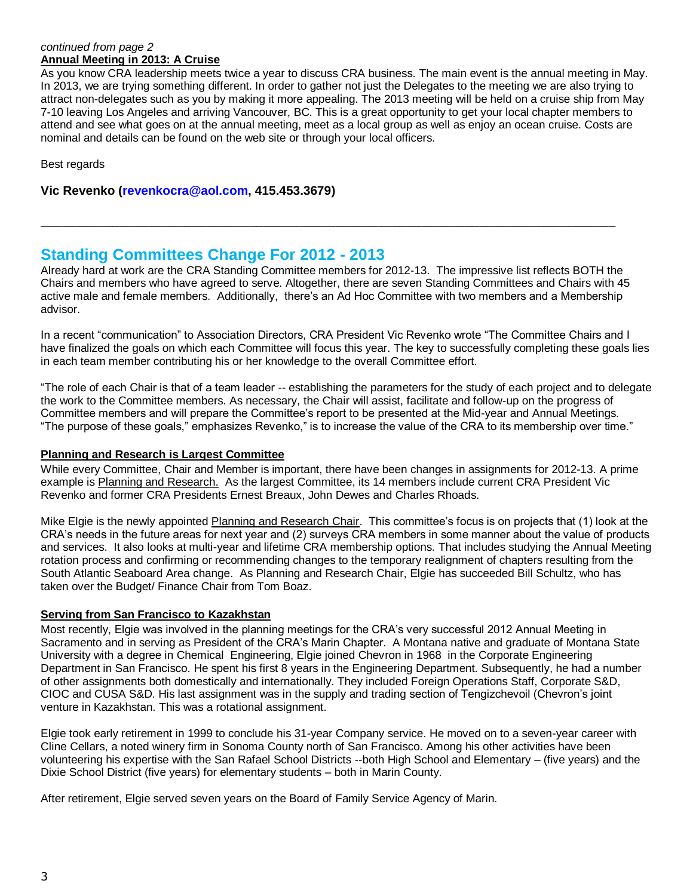## *continued from page 2* **Annual Meeting in 2013: A Cruise**

As you know CRA leadership meets twice a year to discuss CRA business. The main event is the annual meeting in May. In 2013, we are trying something different. In order to gather not just the Delegates to the meeting we are also trying to attract non-delegates such as you by making it more appealing. The 2013 meeting will be held on a cruise ship from May 7-10 leaving Los Angeles and arriving Vancouver, BC. This is a great opportunity to get your local chapter members to attend and see what goes on at the annual meeting, meet as a local group as well as enjoy an ocean cruise. Costs are nominal and details can be found on the web site or through your local officers.

Best regards

**Vic Revenko (revenkocra@aol.com, 415.453.3679)**

## **Standing Committees Change For 2012 - 2013**

Already hard at work are the CRA Standing Committee members for 2012-13. The impressive list reflects BOTH the Chairs and members who have agreed to serve. Altogether, there are seven Standing Committees and Chairs with 45 active male and female members. Additionally, there's an Ad Hoc Committee with two members and a Membership advisor.

\_\_\_\_\_\_\_\_\_\_\_\_\_\_\_\_\_\_\_\_\_\_\_\_\_\_\_\_\_\_\_\_\_\_\_\_\_\_\_\_\_\_\_\_\_\_\_\_\_\_\_\_\_\_\_\_\_\_\_\_\_\_\_\_\_\_\_\_\_\_\_\_\_\_\_\_\_\_\_\_

In a recent "communication" to Association Directors, CRA President Vic Revenko wrote "The Committee Chairs and I have finalized the goals on which each Committee will focus this year. The key to successfully completing these goals lies in each team member contributing his or her knowledge to the overall Committee effort.

"The role of each Chair is that of a team leader -- establishing the parameters for the study of each project and to delegate the work to the Committee members. As necessary, the Chair will assist, facilitate and follow-up on the progress of Committee members and will prepare the Committee's report to be presented at the Mid-year and Annual Meetings. "The purpose of these goals," emphasizes Revenko," is to increase the value of the CRA to its membership over time."

## **Planning and Research is Largest Committee**

While every Committee, Chair and Member is important, there have been changes in assignments for 2012-13. A prime example is Planning and Research. As the largest Committee, its 14 members include current CRA President Vic Revenko and former CRA Presidents Ernest Breaux, John Dewes and Charles Rhoads.

Mike Elgie is the newly appointed Planning and Research Chair. This committee's focus is on projects that (1) look at the CRA's needs in the future areas for next year and (2) surveys CRA members in some manner about the value of products and services. It also looks at multi-year and lifetime CRA membership options. That includes studying the Annual Meeting rotation process and confirming or recommending changes to the temporary realignment of chapters resulting from the South Atlantic Seaboard Area change. As Planning and Research Chair, Elgie has succeeded Bill Schultz, who has taken over the Budget/ Finance Chair from Tom Boaz.

## **Serving from San Francisco to Kazakhstan**

Most recently, Elgie was involved in the planning meetings for the CRA's very successful 2012 Annual Meeting in Sacramento and in serving as President of the CRA's Marin Chapter. A Montana native and graduate of Montana State University with a degree in Chemical Engineering, Elgie joined Chevron in 1968 in the Corporate Engineering Department in San Francisco. He spent his first 8 years in the Engineering Department. Subsequently, he had a number of other assignments both domestically and internationally. They included Foreign Operations Staff, Corporate S&D, CIOC and CUSA S&D. His last assignment was in the supply and trading section of Tengizchevoil (Chevron's joint venture in Kazakhstan. This was a rotational assignment.

Elgie took early retirement in 1999 to conclude his 31-year Company service. He moved on to a seven-year career with Cline Cellars, a noted winery firm in Sonoma County north of San Francisco. Among his other activities have been volunteering his expertise with the San Rafael School Districts --both High School and Elementary – (five years) and the Dixie School District (five years) for elementary students – both in Marin County.

After retirement, Elgie served seven years on the Board of Family Service Agency of Marin.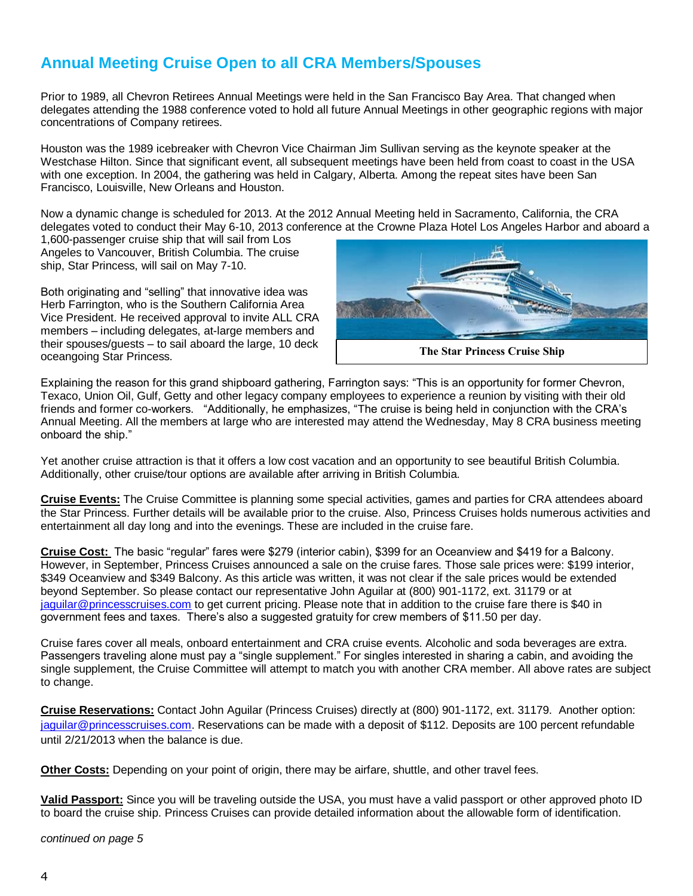# **Annual Meeting Cruise Open to all CRA Members/Spouses**

Prior to 1989, all Chevron Retirees Annual Meetings were held in the San Francisco Bay Area. That changed when delegates attending the 1988 conference voted to hold all future Annual Meetings in other geographic regions with major concentrations of Company retirees.

Houston was the 1989 icebreaker with Chevron Vice Chairman Jim Sullivan serving as the keynote speaker at the Westchase Hilton. Since that significant event, all subsequent meetings have been held from coast to coast in the USA with one exception. In 2004, the gathering was held in Calgary, Alberta. Among the repeat sites have been San Francisco, Louisville, New Orleans and Houston.

Now a dynamic change is scheduled for 2013. At the 2012 Annual Meeting held in Sacramento, California, the CRA delegates voted to conduct their May 6-10, 2013 conference at the Crowne Plaza Hotel Los Angeles Harbor and aboard a

1,600-passenger cruise ship that will sail from Los Angeles to Vancouver, British Columbia. The cruise ship, Star Princess, will sail on May 7-10.

Both originating and "selling" that innovative idea was Herb Farrington, who is the Southern California Area Vice President. He received approval to invite ALL CRA members – including delegates, at-large members and their spouses/guests – to sail aboard the large, 10 deck oceangoing Star Princess.



Explaining the reason for this grand shipboard gathering, Farrington says: "This is an opportunity for former Chevron, Texaco, Union Oil, Gulf, Getty and other legacy company employees to experience a reunion by visiting with their old friends and former co-workers. "Additionally, he emphasizes, "The cruise is being held in conjunction with the CRA's Annual Meeting. All the members at large who are interested may attend the Wednesday, May 8 CRA business meeting onboard the ship."

Yet another cruise attraction is that it offers a low cost vacation and an opportunity to see beautiful British Columbia. Additionally, other cruise/tour options are available after arriving in British Columbia.

**Cruise Events:** The Cruise Committee is planning some special activities, games and parties for CRA attendees aboard the Star Princess. Further details will be available prior to the cruise. Also, Princess Cruises holds numerous activities and entertainment all day long and into the evenings. These are included in the cruise fare.

**Cruise Cost:** The basic "regular" fares were \$279 (interior cabin), \$399 for an Oceanview and \$419 for a Balcony. However, in September, Princess Cruises announced a sale on the cruise fares. Those sale prices were: \$199 interior, \$349 Oceanview and \$349 Balcony. As this article was written, it was not clear if the sale prices would be extended beyond September. So please contact our representative John Aguilar at (800) 901-1172, ext. 31179 or at [jaguilar@princesscruises.com](mailto:jaguilar@princesscruises.com) to get current pricing. Please note that in addition to the cruise fare there is \$40 in government fees and taxes. There's also a suggested gratuity for crew members of \$11.50 per day.

Cruise fares cover all meals, onboard entertainment and CRA cruise events. Alcoholic and soda beverages are extra. Passengers traveling alone must pay a "single supplement." For singles interested in sharing a cabin, and avoiding the single supplement, the Cruise Committee will attempt to match you with another CRA member. All above rates are subject to change.

**Cruise Reservations:** Contact John Aguilar (Princess Cruises) directly at (800) 901-1172, ext. 31179. Another option: [jaguilar@princesscruises.com.](mailto:jaguilar@princesscruises.com) Reservations can be made with a deposit of \$112. Deposits are 100 percent refundable until 2/21/2013 when the balance is due.

**Other Costs:** Depending on your point of origin, there may be airfare, shuttle, and other travel fees.

**Valid Passport:** Since you will be traveling outside the USA, you must have a valid passport or other approved photo ID to board the cruise ship. Princess Cruises can provide detailed information about the allowable form of identification.

*continued on page 5*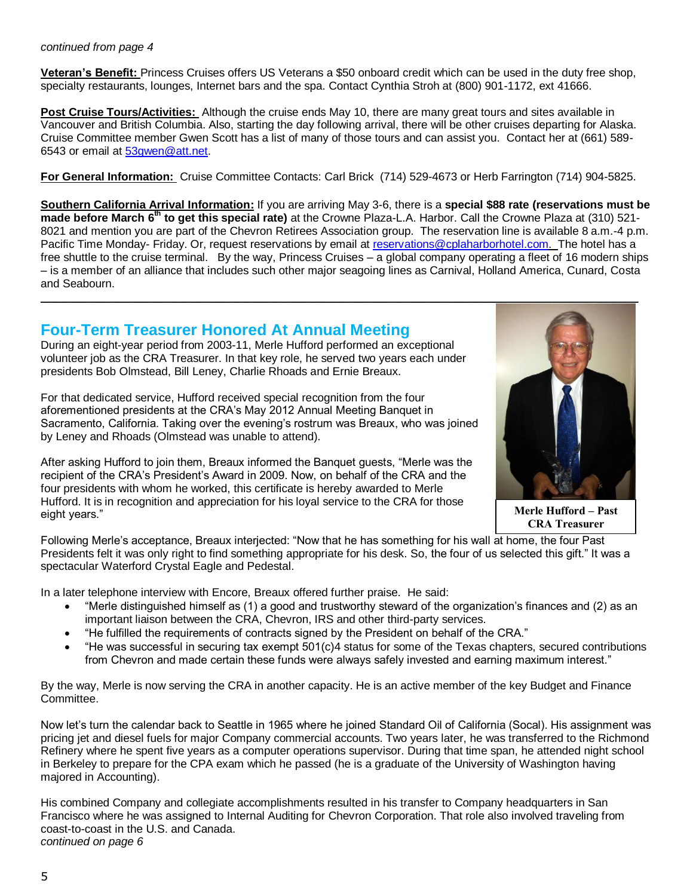### *continued from page 4*

**Veteran's Benefit:** Princess Cruises offers US Veterans a \$50 onboard credit which can be used in the duty free shop, specialty restaurants, lounges, Internet bars and the spa. Contact Cynthia Stroh at (800) 901-1172, ext 41666.

**Post Cruise Tours/Activities:** Although the cruise ends May 10, there are many great tours and sites available in Vancouver and British Columbia. Also, starting the day following arrival, there will be other cruises departing for Alaska. Cruise Committee member Gwen Scott has a list of many of those tours and can assist you. Contact her at (661) 589- 6543 or email at [53gwen@att.net.](mailto:53gwen@att.net)

**For General Information:** Cruise Committee Contacts: Carl Brick (714) 529-4673 or Herb Farrington (714) 904-5825.

**Southern California Arrival Information:** If you are arriving May 3-6, there is a **special \$88 rate (reservations must be** made before March 6<sup>th</sup> to get this special rate) at the Crowne Plaza-L.A. Harbor. Call the Crowne Plaza at (310) 521-8021 and mention you are part of the Chevron Retirees Association group. The reservation line is available 8 a.m.-4 p.m. Pacific Time Monday- Friday. Or, request reservations by email at [reservations@cplaharborhotel.com.](mailto:reservations@cplaharborhotel.com) The hotel has a free shuttle to the cruise terminal. By the way, Princess Cruises – a global company operating a fleet of 16 modern ships – is a member of an alliance that includes such other major seagoing lines as Carnival, Holland America, Cunard, Costa and Seabourn.

## **Four-Term Treasurer Honored At Annual Meeting**

During an eight-year period from 2003-11, Merle Hufford performed an exceptional volunteer job as the CRA Treasurer. In that key role, he served two years each under presidents Bob Olmstead, Bill Leney, Charlie Rhoads and Ernie Breaux.

For that dedicated service, Hufford received special recognition from the four aforementioned presidents at the CRA's May 2012 Annual Meeting Banquet in Sacramento, California. Taking over the evening's rostrum was Breaux, who was joined by Leney and Rhoads (Olmstead was unable to attend).

After asking Hufford to join them, Breaux informed the Banquet guests, "Merle was the recipient of the CRA's President's Award in 2009. Now, on behalf of the CRA and the four presidents with whom he worked, this certificate is hereby awarded to Merle Hufford. It is in recognition and appreciation for his loyal service to the CRA for those eight years."



**Merle Hufford – Past CRA Treasurer**

Following Merle's acceptance, Breaux interjected: "Now that he has something for his wall at home, the four Past Presidents felt it was only right to find something appropriate for his desk. So, the four of us selected this gift." It was a spectacular Waterford Crystal Eagle and Pedestal.

In a later telephone interview with Encore, Breaux offered further praise. He said:

- "Merle distinguished himself as (1) a good and trustworthy steward of the organization's finances and (2) as an important liaison between the CRA, Chevron, IRS and other third-party services.
- "He fulfilled the requirements of contracts signed by the President on behalf of the CRA."
- "He was successful in securing tax exempt 501(c)4 status for some of the Texas chapters, secured contributions from Chevron and made certain these funds were always safely invested and earning maximum interest."

By the way, Merle is now serving the CRA in another capacity. He is an active member of the key Budget and Finance Committee.

Now let's turn the calendar back to Seattle in 1965 where he joined Standard Oil of California (Socal). His assignment was pricing jet and diesel fuels for major Company commercial accounts. Two years later, he was transferred to the Richmond Refinery where he spent five years as a computer operations supervisor. During that time span, he attended night school in Berkeley to prepare for the CPA exam which he passed (he is a graduate of the University of Washington having majored in Accounting).

His combined Company and collegiate accomplishments resulted in his transfer to Company headquarters in San Francisco where he was assigned to Internal Auditing for Chevron Corporation. That role also involved traveling from coast-to-coast in the U.S. and Canada. *continued on page 6*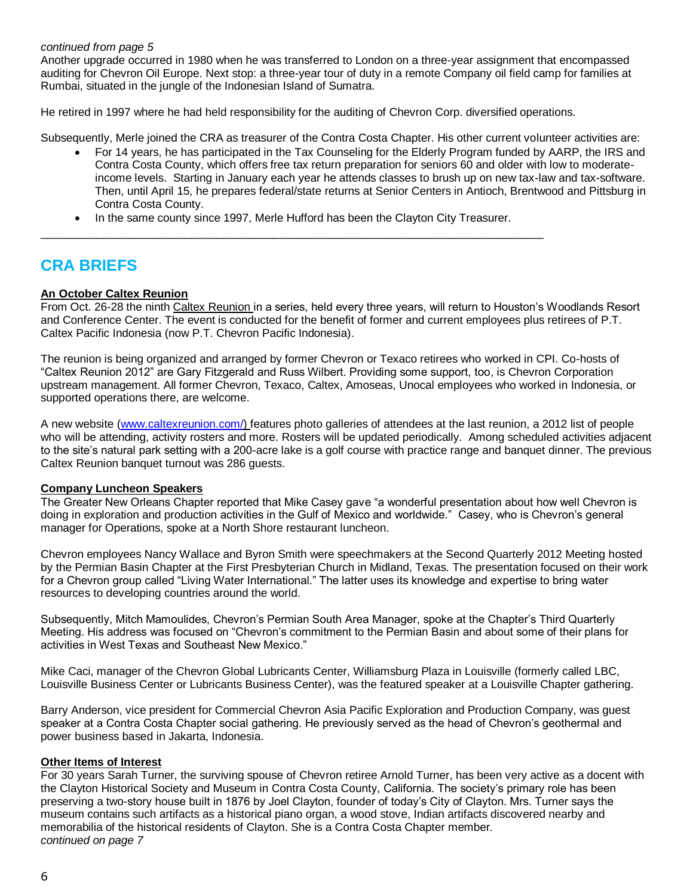### *continued from page 5*

Another upgrade occurred in 1980 when he was transferred to London on a three-year assignment that encompassed auditing for Chevron Oil Europe. Next stop: a three-year tour of duty in a remote Company oil field camp for families at Rumbai, situated in the jungle of the Indonesian Island of Sumatra.

He retired in 1997 where he had held responsibility for the auditing of Chevron Corp. diversified operations.

Subsequently, Merle joined the CRA as treasurer of the Contra Costa Chapter. His other current volunteer activities are:

- For 14 years, he has participated in the Tax Counseling for the Elderly Program funded by AARP, the IRS and Contra Costa County, which offers free tax return preparation for seniors 60 and older with low to moderateincome levels. Starting in January each year he attends classes to brush up on new tax-law and tax-software. Then, until April 15, he prepares federal/state returns at Senior Centers in Antioch, Brentwood and Pittsburg in Contra Costa County.
- In the same county since 1997, Merle Hufford has been the Clayton City Treasurer. \_\_\_\_\_\_\_\_\_\_\_\_\_\_\_\_\_\_\_\_\_\_\_\_\_\_\_\_\_\_\_\_\_\_\_\_\_\_\_\_\_\_\_\_\_\_\_\_\_\_\_\_\_\_\_\_\_\_\_\_\_\_\_\_\_\_\_\_\_\_\_\_\_\_\_\_\_\_\_\_

# **CRA BRIEFS**

## **An October Caltex Reunion**

From Oct. 26-28 the ninth Caltex Reunion in a series, held every three years, will return to Houston's Woodlands Resort and Conference Center. The event is conducted for the benefit of former and current employees plus retirees of P.T. Caltex Pacific Indonesia (now P.T. Chevron Pacific Indonesia).

The reunion is being organized and arranged by former Chevron or Texaco retirees who worked in CPI. Co-hosts of "Caltex Reunion 2012" are Gary Fitzgerald and Russ Wilbert. Providing some support, too, is Chevron Corporation upstream management. All former Chevron, Texaco, Caltex, Amoseas, Unocal employees who worked in Indonesia, or supported operations there, are welcome.

A new website [\(www.caltexreunion.com/\)](http://www.caltexrunion.com/) features photo galleries of attendees at the last reunion, a 2012 list of people who will be attending, activity rosters and more. Rosters will be updated periodically. Among scheduled activities adjacent to the site's natural park setting with a 200-acre lake is a golf course with practice range and banquet dinner. The previous Caltex Reunion banquet turnout was 286 guests.

## **Company Luncheon Speakers**

The Greater New Orleans Chapter reported that Mike Casey gave "a wonderful presentation about how well Chevron is doing in exploration and production activities in the Gulf of Mexico and worldwide." Casey, who is Chevron's general manager for Operations, spoke at a North Shore restaurant luncheon.

Chevron employees Nancy Wallace and Byron Smith were speechmakers at the Second Quarterly 2012 Meeting hosted by the Permian Basin Chapter at the First Presbyterian Church in Midland, Texas. The presentation focused on their work for a Chevron group called "Living Water International." The latter uses its knowledge and expertise to bring water resources to developing countries around the world.

Subsequently, Mitch Mamoulides, Chevron's Permian South Area Manager, spoke at the Chapter's Third Quarterly Meeting. His address was focused on "Chevron's commitment to the Permian Basin and about some of their plans for activities in West Texas and Southeast New Mexico."

Mike Caci, manager of the Chevron Global Lubricants Center, Williamsburg Plaza in Louisville (formerly called LBC, Louisville Business Center or Lubricants Business Center), was the featured speaker at a Louisville Chapter gathering.

Barry Anderson, vice president for Commercial Chevron Asia Pacific Exploration and Production Company, was guest speaker at a Contra Costa Chapter social gathering. He previously served as the head of Chevron's geothermal and power business based in Jakarta, Indonesia.

## **Other Items of Interest**

For 30 years Sarah Turner, the surviving spouse of Chevron retiree Arnold Turner, has been very active as a docent with the Clayton Historical Society and Museum in Contra Costa County, California. The society's primary role has been preserving a two-story house built in 1876 by Joel Clayton, founder of today's City of Clayton. Mrs. Turner says the museum contains such artifacts as a historical piano organ, a wood stove, Indian artifacts discovered nearby and memorabilia of the historical residents of Clayton. She is a Contra Costa Chapter member. *continued on page 7*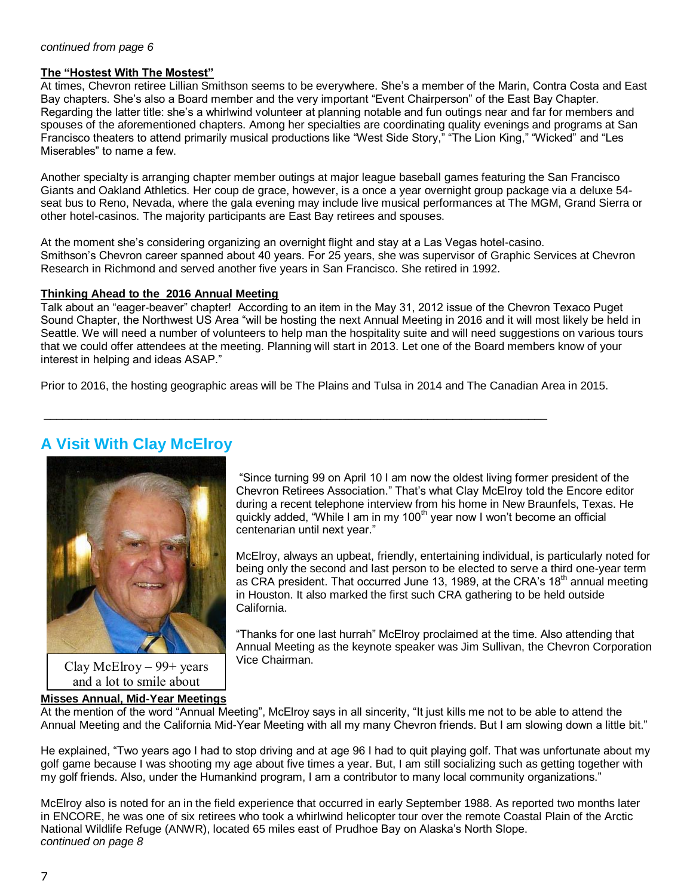## **The "Hostest With The Mostest"**

At times, Chevron retiree Lillian Smithson seems to be everywhere. She's a member of the Marin, Contra Costa and East Bay chapters. She's also a Board member and the very important "Event Chairperson" of the East Bay Chapter. Regarding the latter title: she's a whirlwind volunteer at planning notable and fun outings near and far for members and spouses of the aforementioned chapters. Among her specialties are coordinating quality evenings and programs at San Francisco theaters to attend primarily musical productions like "West Side Story," "The Lion King," "Wicked" and "Les Miserables" to name a few.

Another specialty is arranging chapter member outings at major league baseball games featuring the San Francisco Giants and Oakland Athletics. Her coup de grace, however, is a once a year overnight group package via a deluxe 54 seat bus to Reno, Nevada, where the gala evening may include live musical performances at The MGM, Grand Sierra or other hotel-casinos. The majority participants are East Bay retirees and spouses.

At the moment she's considering organizing an overnight flight and stay at a Las Vegas hotel-casino. Smithson's Chevron career spanned about 40 years. For 25 years, she was supervisor of Graphic Services at Chevron Research in Richmond and served another five years in San Francisco. She retired in 1992.

## **Thinking Ahead to the 2016 Annual Meeting**

Talk about an "eager-beaver" chapter! According to an item in the May 31, 2012 issue of the Chevron Texaco Puget Sound Chapter, the Northwest US Area "will be hosting the next Annual Meeting in 2016 and it will most likely be held in Seattle. We will need a number of volunteers to help man the hospitality suite and will need suggestions on various tours that we could offer attendees at the meeting. Planning will start in 2013. Let one of the Board members know of your interest in helping and ideas ASAP."

Prior to 2016, the hosting geographic areas will be The Plains and Tulsa in 2014 and The Canadian Area in 2015.

\_\_\_\_\_\_\_\_\_\_\_\_\_\_\_\_\_\_\_\_\_\_\_\_\_\_\_\_\_\_\_\_\_\_\_\_\_\_\_\_\_\_\_\_\_\_\_\_\_\_\_\_\_\_\_\_\_\_\_\_\_\_\_\_\_\_\_\_\_\_\_\_\_\_\_\_\_\_\_\_

## **A Visit With Clay McElroy**



Clay McElroy  $-99$ + years and a lot to smile about

## **Misses Annual, Mid-Year Meetings**

"Since turning 99 on April 10 I am now the oldest living former president of the Chevron Retirees Association." That's what Clay McElroy told the Encore editor during a recent telephone interview from his home in New Braunfels, Texas. He quickly added, "While I am in my 100<sup>th</sup> year now I won't become an official centenarian until next year."

McElroy, always an upbeat, friendly, entertaining individual, is particularly noted for being only the second and last person to be elected to serve a third one-year term as CRA president. That occurred June 13, 1989, at the CRA's 18<sup>th</sup> annual meeting in Houston. It also marked the first such CRA gathering to be held outside California.

"Thanks for one last hurrah" McElroy proclaimed at the time. Also attending that Annual Meeting as the keynote speaker was Jim Sullivan, the Chevron Corporation Vice Chairman.

At the mention of the word "Annual Meeting", McElroy says in all sincerity, "It just kills me not to be able to attend the Annual Meeting and the California Mid-Year Meeting with all my many Chevron friends. But I am slowing down a little bit."

He explained, "Two years ago I had to stop driving and at age 96 I had to quit playing golf. That was unfortunate about my golf game because I was shooting my age about five times a year. But, I am still socializing such as getting together with my golf friends. Also, under the Humankind program, I am a contributor to many local community organizations."

McElroy also is noted for an in the field experience that occurred in early September 1988. As reported two months later in ENCORE, he was one of six retirees who took a whirlwind helicopter tour over the remote Coastal Plain of the Arctic National Wildlife Refuge (ANWR), located 65 miles east of Prudhoe Bay on Alaska's North Slope. *continued on page 8*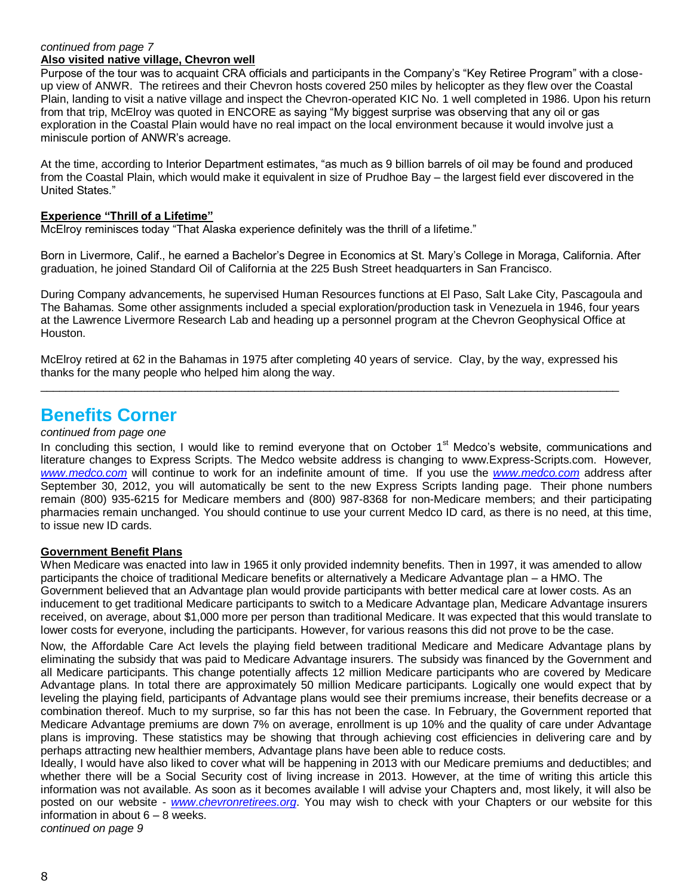#### *continued from page 7* **Also visited native village, Chevron well**

Purpose of the tour was to acquaint CRA officials and participants in the Company's "Key Retiree Program" with a closeup view of ANWR. The retirees and their Chevron hosts covered 250 miles by helicopter as they flew over the Coastal Plain, landing to visit a native village and inspect the Chevron-operated KIC No. 1 well completed in 1986. Upon his return from that trip, McElroy was quoted in ENCORE as saying "My biggest surprise was observing that any oil or gas exploration in the Coastal Plain would have no real impact on the local environment because it would involve just a miniscule portion of ANWR's acreage.

At the time, according to Interior Department estimates, "as much as 9 billion barrels of oil may be found and produced from the Coastal Plain, which would make it equivalent in size of Prudhoe Bay – the largest field ever discovered in the United States."

## **Experience "Thrill of a Lifetime"**

McElroy reminisces today "That Alaska experience definitely was the thrill of a lifetime."

Born in Livermore, Calif., he earned a Bachelor's Degree in Economics at St. Mary's College in Moraga, California. After graduation, he joined Standard Oil of California at the 225 Bush Street headquarters in San Francisco.

During Company advancements, he supervised Human Resources functions at El Paso, Salt Lake City, Pascagoula and The Bahamas. Some other assignments included a special exploration/production task in Venezuela in 1946, four years at the Lawrence Livermore Research Lab and heading up a personnel program at the Chevron Geophysical Office at Houston.

McElroy retired at 62 in the Bahamas in 1975 after completing 40 years of service. Clay, by the way, expressed his thanks for the many people who helped him along the way.  $\_$  ,  $\_$  ,  $\_$  ,  $\_$  ,  $\_$  ,  $\_$  ,  $\_$  ,  $\_$  ,  $\_$  ,  $\_$  ,  $\_$  ,  $\_$  ,  $\_$  ,  $\_$  ,  $\_$  ,  $\_$  ,  $\_$  ,  $\_$  ,  $\_$  ,  $\_$  ,  $\_$  ,  $\_$  ,  $\_$  ,  $\_$  ,  $\_$  ,  $\_$  ,  $\_$  ,  $\_$  ,  $\_$  ,  $\_$  ,  $\_$  ,  $\_$  ,  $\_$  ,  $\_$  ,  $\_$  ,  $\_$  ,  $\_$  ,

# **Benefits Corner**

## *continued from page one*

In concluding this section, I would like to remind everyone that on October 1<sup>st</sup> Medco's website, communications and literature changes to Express Scripts. The Medco website address is changing to www.Express-Scripts.com. However*, [www.medco.com](http://www.medco.com/)* will continue to work for an indefinite amount of time. If you use the *[www.medco.com](http://www.medco.com/)* address after September 30, 2012, you will automatically be sent to the new Express Scripts landing page. Their phone numbers remain (800) 935-6215 for Medicare members and (800) 987-8368 for non-Medicare members; and their participating pharmacies remain unchanged. You should continue to use your current Medco ID card, as there is no need, at this time, to issue new ID cards.

## **Government Benefit Plans**

When Medicare was enacted into law in 1965 it only provided indemnity benefits. Then in 1997, it was amended to allow participants the choice of traditional Medicare benefits or alternatively a Medicare Advantage plan – a HMO. The Government believed that an Advantage plan would provide participants with better medical care at lower costs. As an inducement to get traditional Medicare participants to switch to a Medicare Advantage plan, Medicare Advantage insurers received, on average, about \$1,000 more per person than traditional Medicare. It was expected that this would translate to lower costs for everyone, including the participants. However, for various reasons this did not prove to be the case.

Now, the Affordable Care Act levels the playing field between traditional Medicare and Medicare Advantage plans by eliminating the subsidy that was paid to Medicare Advantage insurers. The subsidy was financed by the Government and all Medicare participants. This change potentially affects 12 million Medicare participants who are covered by Medicare Advantage plans. In total there are approximately 50 million Medicare participants. Logically one would expect that by leveling the playing field, participants of Advantage plans would see their premiums increase, their benefits decrease or a combination thereof. Much to my surprise, so far this has not been the case. In February, the Government reported that Medicare Advantage premiums are down 7% on average, enrollment is up 10% and the quality of care under Advantage plans is improving. These statistics may be showing that through achieving cost efficiencies in delivering care and by perhaps attracting new healthier members, Advantage plans have been able to reduce costs.

Ideally, I would have also liked to cover what will be happening in 2013 with our Medicare premiums and deductibles; and whether there will be a Social Security cost of living increase in 2013. However, at the time of writing this article this information was not available. As soon as it becomes available I will advise your Chapters and, most likely, it will also be posted on our website - *[www.chevronretirees.org](http://www.chevronretirees.org/)*. You may wish to check with your Chapters or our website for this information in about 6 – 8 weeks.

*continued on page 9*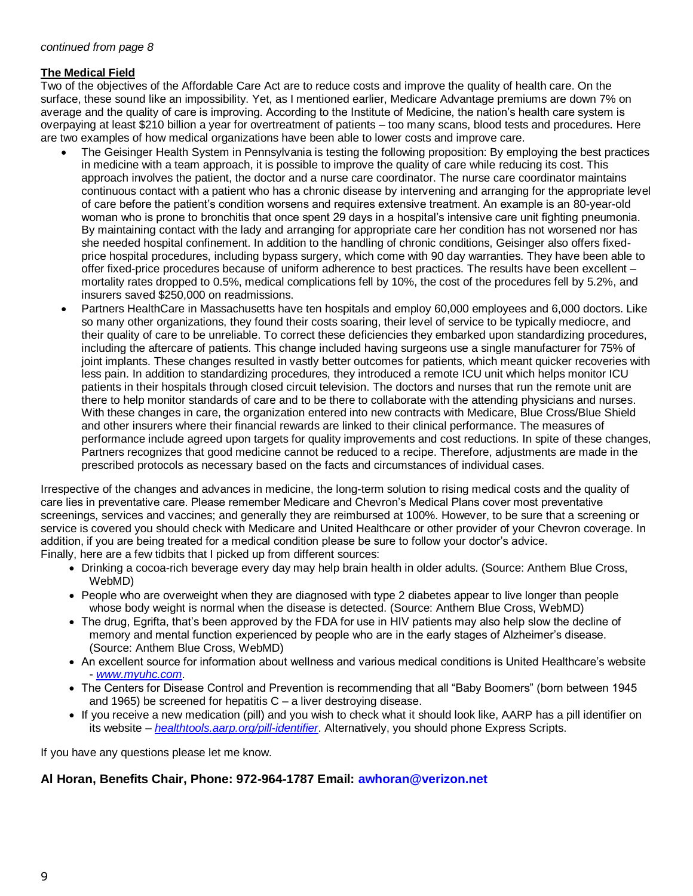## **The Medical Field**

Two of the objectives of the Affordable Care Act are to reduce costs and improve the quality of health care. On the surface, these sound like an impossibility. Yet, as I mentioned earlier, Medicare Advantage premiums are down 7% on average and the quality of care is improving. According to the Institute of Medicine, the nation's health care system is overpaying at least \$210 billion a year for overtreatment of patients – too many scans, blood tests and procedures. Here are two examples of how medical organizations have been able to lower costs and improve care.

- The Geisinger Health System in Pennsylvania is testing the following proposition: By employing the best practices in medicine with a team approach, it is possible to improve the quality of care while reducing its cost. This approach involves the patient, the doctor and a nurse care coordinator. The nurse care coordinator maintains continuous contact with a patient who has a chronic disease by intervening and arranging for the appropriate level of care before the patient's condition worsens and requires extensive treatment. An example is an 80-year-old woman who is prone to bronchitis that once spent 29 days in a hospital's intensive care unit fighting pneumonia. By maintaining contact with the lady and arranging for appropriate care her condition has not worsened nor has she needed hospital confinement. In addition to the handling of chronic conditions, Geisinger also offers fixedprice hospital procedures, including bypass surgery, which come with 90 day warranties. They have been able to offer fixed-price procedures because of uniform adherence to best practices. The results have been excellent – mortality rates dropped to 0.5%, medical complications fell by 10%, the cost of the procedures fell by 5.2%, and insurers saved \$250,000 on readmissions.
- Partners HealthCare in Massachusetts have ten hospitals and employ 60,000 employees and 6,000 doctors. Like so many other organizations, they found their costs soaring, their level of service to be typically mediocre, and their quality of care to be unreliable. To correct these deficiencies they embarked upon standardizing procedures, including the aftercare of patients. This change included having surgeons use a single manufacturer for 75% of joint implants. These changes resulted in vastly better outcomes for patients, which meant quicker recoveries with less pain. In addition to standardizing procedures, they introduced a remote ICU unit which helps monitor ICU patients in their hospitals through closed circuit television. The doctors and nurses that run the remote unit are there to help monitor standards of care and to be there to collaborate with the attending physicians and nurses. With these changes in care, the organization entered into new contracts with Medicare, Blue Cross/Blue Shield and other insurers where their financial rewards are linked to their clinical performance. The measures of performance include agreed upon targets for quality improvements and cost reductions. In spite of these changes, Partners recognizes that good medicine cannot be reduced to a recipe. Therefore, adjustments are made in the prescribed protocols as necessary based on the facts and circumstances of individual cases.

Irrespective of the changes and advances in medicine, the long-term solution to rising medical costs and the quality of care lies in preventative care. Please remember Medicare and Chevron's Medical Plans cover most preventative screenings, services and vaccines; and generally they are reimbursed at 100%. However, to be sure that a screening or service is covered you should check with Medicare and United Healthcare or other provider of your Chevron coverage. In addition, if you are being treated for a medical condition please be sure to follow your doctor's advice. Finally, here are a few tidbits that I picked up from different sources:

- Drinking a cocoa-rich beverage every day may help brain health in older adults. (Source: Anthem Blue Cross, WebMD)
- People who are overweight when they are diagnosed with type 2 diabetes appear to live longer than people whose body weight is normal when the disease is detected. (Source: Anthem Blue Cross, WebMD)
- The drug, Egrifta, that's been approved by the FDA for use in HIV patients may also help slow the decline of memory and mental function experienced by people who are in the early stages of Alzheimer's disease. (Source: Anthem Blue Cross, WebMD)
- An excellent source for information about wellness and various medical conditions is United Healthcare's website - *[www.myuhc.com](http://www.myuhc.com/)*.
- The Centers for Disease Control and Prevention is recommending that all "Baby Boomers" (born between 1945 and 1965) be screened for hepatitis C – a liver destroying disease.
- If you receive a new medication (pill) and you wish to check what it should look like, AARP has a pill identifier on its website – *[healthtools.aarp.org/pill-identifier](http://www.myuhc.com/)*. Alternatively, you should phone Express Scripts.

If you have any questions please let me know.

## **Al Horan, Benefits Chair, Phone: 972-964-1787 Email: awhoran@verizon.net**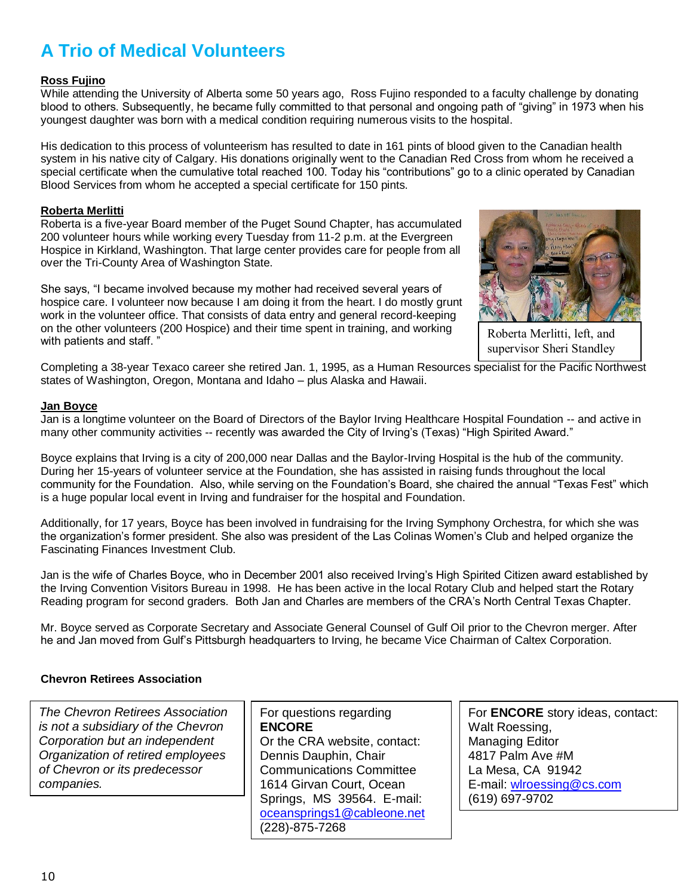# **A Trio of Medical Volunteers**

## **Ross Fujino**

While attending the University of Alberta some 50 years ago, Ross Fujino responded to a faculty challenge by donating blood to others. Subsequently, he became fully committed to that personal and ongoing path of "giving" in 1973 when his youngest daughter was born with a medical condition requiring numerous visits to the hospital.

His dedication to this process of volunteerism has resulted to date in 161 pints of blood given to the Canadian health system in his native city of Calgary. His donations originally went to the Canadian Red Cross from whom he received a special certificate when the cumulative total reached 100. Today his "contributions" go to a clinic operated by Canadian Blood Services from whom he accepted a special certificate for 150 pints.

## **Roberta Merlitti**

Roberta is a five-year Board member of the Puget Sound Chapter, has accumulated 200 volunteer hours while working every Tuesday from 11-2 p.m. at the Evergreen Hospice in Kirkland, Washington. That large center provides care for people from all over the Tri-County Area of Washington State.

She says, "I became involved because my mother had received several years of hospice care. I volunteer now because I am doing it from the heart. I do mostly grunt work in the volunteer office. That consists of data entry and general record-keeping on the other volunteers (200 Hospice) and their time spent in training, and working with patients and staff."



Roberta Merlitti, left, and supervisor Sheri Standley

Completing a 38-year Texaco career she retired Jan. 1, 1995, as a Human Resources specialist for the Pacific Northwest states of Washington, Oregon, Montana and Idaho – plus Alaska and Hawaii.

### **Jan Boyce**

Jan is a longtime volunteer on the Board of Directors of the Baylor Irving Healthcare Hospital Foundation -- and active in many other community activities -- recently was awarded the City of Irving's (Texas) "High Spirited Award."

Boyce explains that Irving is a city of 200,000 near Dallas and the Baylor-Irving Hospital is the hub of the community. During her 15-years of volunteer service at the Foundation, she has assisted in raising funds throughout the local community for the Foundation. Also, while serving on the Foundation's Board, she chaired the annual "Texas Fest" which is a huge popular local event in Irving and fundraiser for the hospital and Foundation.

Additionally, for 17 years, Boyce has been involved in fundraising for the Irving Symphony Orchestra, for which she was the organization's former president. She also was president of the Las Colinas Women's Club and helped organize the Fascinating Finances Investment Club.

Jan is the wife of Charles Boyce, who in December 2001 also received Irving's High Spirited Citizen award established by the Irving Convention Visitors Bureau in 1998. He has been active in the local Rotary Club and helped start the Rotary Reading program for second graders. Both Jan and Charles are members of the CRA's North Central Texas Chapter.

Mr. Boyce served as Corporate Secretary and Associate General Counsel of Gulf Oil prior to the Chevron merger. After he and Jan moved from Gulf's Pittsburgh headquarters to Irving, he became Vice Chairman of Caltex Corporation.

## **Chevron Retirees Association**

*The Chevron Retirees Association is not a subsidiary of the Chevron Corporation but an independent Organization of retired employees of Chevron or its predecessor companies.*

For questions regarding **ENCORE** Or the CRA website, contact: Dennis Dauphin, Chair Communications Committee 1614 Girvan Court, Ocean Springs, MS 39564. E-mail: [oceansprings1@cableone.net](mailto:oceansprings1@cableone.net) (228)-875-7268

For **ENCORE** story ideas, contact: Walt Roessing, Managing Editor 4817 Palm Ave #M La Mesa, CA 91942 E-mail: [wlroessing@cs.com](mailto:wlroessing@cs.com) (619) 697-9702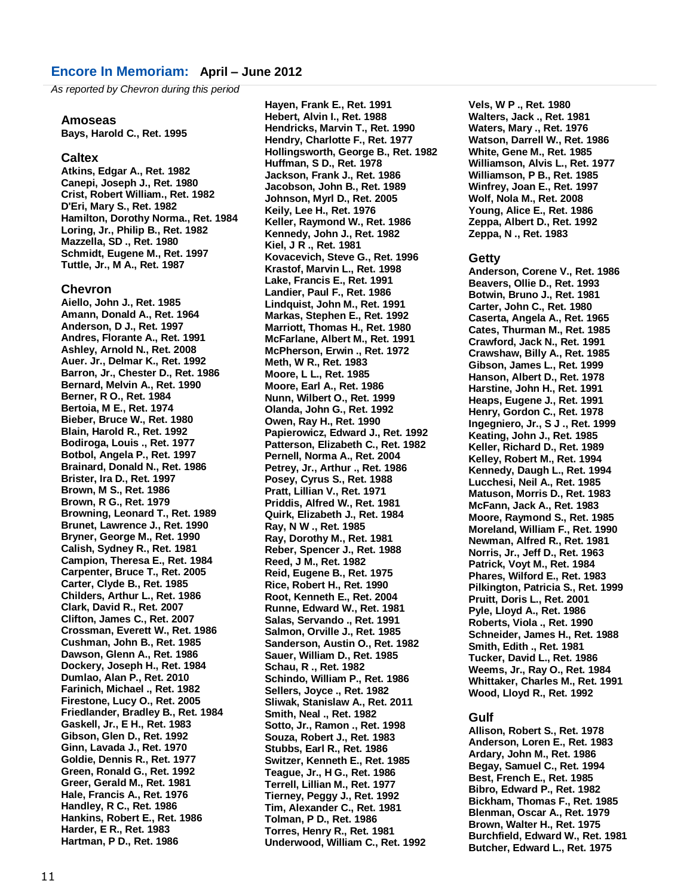### **Encore In Memoriam: April – June 2012**

*As reported by Chevron during this period*

#### **Amoseas**

**Bays, Harold C., Ret. 1995**

#### **Caltex**

**Atkins, Edgar A., Ret. 1982 Canepi, Joseph J., Ret. 1980 Crist, Robert William., Ret. 1982 D'Eri, Mary S., Ret. 1982 Hamilton, Dorothy Norma., Ret. 1984 Loring, Jr., Philip B., Ret. 1982 Mazzella, SD ., Ret. 1980 Schmidt, Eugene M., Ret. 1997 Tuttle, Jr., M A., Ret. 1987**

#### **Chevron**

**Aiello, John J., Ret. 1985 Amann, Donald A., Ret. 1964 Anderson, D J., Ret. 1997 Andres, Florante A., Ret. 1991 Ashley, Arnold N., Ret. 2008 Auer. Jr., Delmar K., Ret. 1992 Barron, Jr., Chester D., Ret. 1986 Bernard, Melvin A., Ret. 1990 Berner, R O., Ret. 1984 Bertoia, M E., Ret. 1974 Bieber, Bruce W., Ret. 1980 Blain, Harold R., Ret. 1992 Bodiroga, Louis ., Ret. 1977 Botbol, Angela P., Ret. 1997 Brainard, Donald N., Ret. 1986 Brister, Ira D., Ret. 1997 Brown, M S., Ret. 1986 Brown, R G., Ret. 1979 Browning, Leonard T., Ret. 1989 Brunet, Lawrence J., Ret. 1990 Bryner, George M., Ret. 1990 Calish, Sydney R., Ret. 1981 Campion, Theresa E., Ret. 1984 Carpenter, Bruce T., Ret. 2005 Carter, Clyde B., Ret. 1985 Childers, Arthur L., Ret. 1986 Clark, David R., Ret. 2007 Clifton, James C., Ret. 2007 Crossman, Everett W., Ret. 1986 Cushman, John B., Ret. 1985 Dawson, Glenn A., Ret. 1986 Dockery, Joseph H., Ret. 1984 Dumlao, Alan P., Ret. 2010 Farinich, Michael ., Ret. 1982 Firestone, Lucy O., Ret. 2005 Friedlander, Bradley B., Ret. 1984 Gaskell, Jr., E H., Ret. 1983 Gibson, Glen D., Ret. 1992 Ginn, Lavada J., Ret. 1970 Goldie, Dennis R., Ret. 1977 Green, Ronald G., Ret. 1992 Greer, Gerald M., Ret. 1981 Hale, Francis A., Ret. 1976 Handley, R C., Ret. 1986 Hankins, Robert E., Ret. 1986 Harder, E R., Ret. 1983 Hartman, P D., Ret. 1986**

**Hayen, Frank E., Ret. 1991 Hebert, Alvin I., Ret. 1988 Hendricks, Marvin T., Ret. 1990 Hendry, Charlotte F., Ret. 1977 Hollingsworth, George B., Ret. 1982 Huffman, S D., Ret. 1978 Jackson, Frank J., Ret. 1986 Jacobson, John B., Ret. 1989 Johnson, Myrl D., Ret. 2005 Keily, Lee H., Ret. 1976 Keller, Raymond W., Ret. 1986 Kennedy, John J., Ret. 1982 Kiel, J R ., Ret. 1981 Kovacevich, Steve G., Ret. 1996 Krastof, Marvin L., Ret. 1998 Lake, Francis E., Ret. 1991 Landier, Paul F., Ret. 1986 Lindquist, John M., Ret. 1991 Markas, Stephen E., Ret. 1992 Marriott, Thomas H., Ret. 1980 McFarlane, Albert M., Ret. 1991 McPherson, Erwin ., Ret. 1972 Meth, W R., Ret. 1983 Moore, L L., Ret. 1985 Moore, Earl A., Ret. 1986 Nunn, Wilbert O., Ret. 1999 Olanda, John G., Ret. 1992 Owen, Ray H., Ret. 1990 Papierowicz, Edward J., Ret. 1992 Patterson, Elizabeth C., Ret. 1982 Pernell, Norma A., Ret. 2004 Petrey, Jr., Arthur ., Ret. 1986 Posey, Cyrus S., Ret. 1988 Pratt, Lillian V., Ret. 1971 Priddis, Alfred W., Ret. 1981 Quirk, Elizabeth J., Ret. 1984 Ray, N W ., Ret. 1985 Ray, Dorothy M., Ret. 1981 Reber, Spencer J., Ret. 1988 Reed, J M., Ret. 1982 Reid, Eugene B., Ret. 1975 Rice, Robert H., Ret. 1990 Root, Kenneth E., Ret. 2004 Runne, Edward W., Ret. 1981 Salas, Servando ., Ret. 1991 Salmon, Orville J., Ret. 1985 Sanderson, Austin O., Ret. 1982 Sauer, William D., Ret. 1985 Schau, R ., Ret. 1982 Schindo, William P., Ret. 1986 Sellers, Joyce ., Ret. 1982 Sliwak, Stanislaw A., Ret. 2011 Smith, Neal ., Ret. 1982 Sotto, Jr., Ramon ., Ret. 1998 Souza, Robert J., Ret. 1983 Stubbs, Earl R., Ret. 1986 Switzer, Kenneth E., Ret. 1985 Teague, Jr., H G., Ret. 1986 Terrell, Lillian M., Ret. 1977 Tierney, Peggy J., Ret. 1992 Tim, Alexander C., Ret. 1981 Tolman, P D., Ret. 1986 Torres, Henry R., Ret. 1981 Underwood, William C., Ret. 1992**

**Vels, W P ., Ret. 1980 Walters, Jack ., Ret. 1981 Waters, Mary ., Ret. 1976 Watson, Darrell W., Ret. 1986 White, Gene M., Ret. 1985 Williamson, Alvis L., Ret. 1977 Williamson, P B., Ret. 1985 Winfrey, Joan E., Ret. 1997 Wolf, Nola M., Ret. 2008 Young, Alice E., Ret. 1986 Zeppa, Albert D., Ret. 1992 Zeppa, N ., Ret. 1983**

#### **Getty**

**Anderson, Corene V., Ret. 1986 Beavers, Ollie D., Ret. 1993 Botwin, Bruno J., Ret. 1981 Carter, John C., Ret. 1980 Caserta, Angela A., Ret. 1965 Cates, Thurman M., Ret. 1985 Crawford, Jack N., Ret. 1991 Crawshaw, Billy A., Ret. 1985 Gibson, James L., Ret. 1999 Hanson, Albert D., Ret. 1978 Harstine, John H., Ret. 1991 Heaps, Eugene J., Ret. 1991 Henry, Gordon C., Ret. 1978 Ingegniero, Jr., S J ., Ret. 1999 Keating, John J., Ret. 1985 Keller, Richard D., Ret. 1989 Kelley, Robert M., Ret. 1994 Kennedy, Daugh L., Ret. 1994 Lucchesi, Neil A., Ret. 1985 Matuson, Morris D., Ret. 1983 McFann, Jack A., Ret. 1983 Moore, Raymond S., Ret. 1985 Moreland, William F., Ret. 1990 Newman, Alfred R., Ret. 1981 Norris, Jr., Jeff D., Ret. 1963 Patrick, Voyt M., Ret. 1984 Phares, Wilford E., Ret. 1983 Pilkington, Patricia S., Ret. 1999 Pruitt, Doris L., Ret. 2001 Pyle, Lloyd A., Ret. 1986 Roberts, Viola ., Ret. 1990 Schneider, James H., Ret. 1988 Smith, Edith ., Ret. 1981 Tucker, David L., Ret. 1986 Weems, Jr., Ray O., Ret. 1984 Whittaker, Charles M., Ret. 1991 Wood, Lloyd R., Ret. 1992**

#### **Gulf**

**Allison, Robert S., Ret. 1978 Anderson, Loren E., Ret. 1983 Ardary, John M., Ret. 1986 Begay, Samuel C., Ret. 1994 Best, French E., Ret. 1985 Bibro, Edward P., Ret. 1982 Bickham, Thomas F., Ret. 1985 Blenman, Oscar A., Ret. 1979 Brown, Walter H., Ret. 1975 Burchfield, Edward W., Ret. 1981 Butcher, Edward L., Ret. 1975**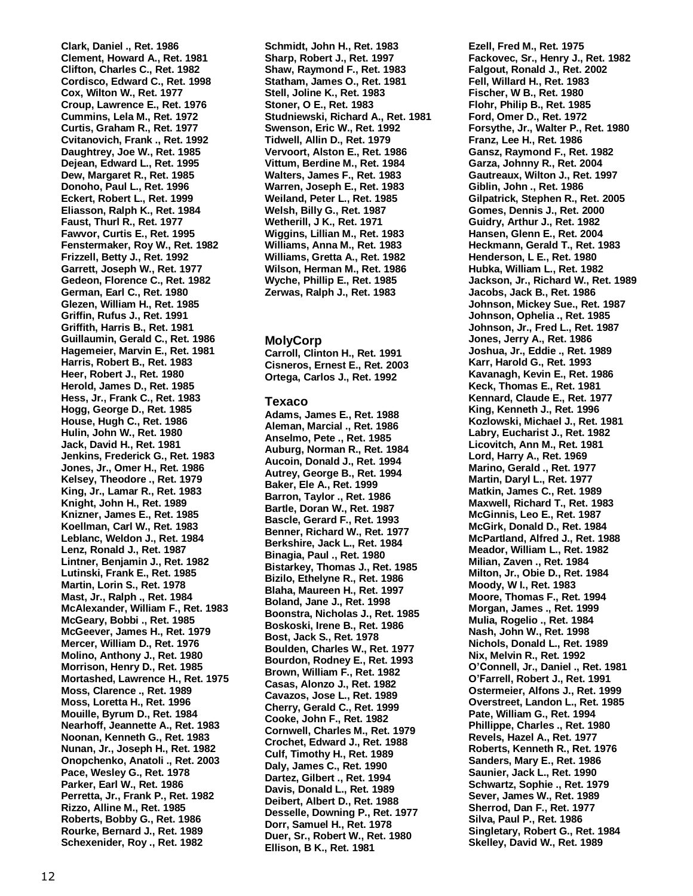**Clark, Daniel ., Ret. 1986 Clement, Howard A., Ret. 1981 Clifton, Charles C., Ret. 1982 Cordisco, Edward C., Ret. 1998 Cox, Wilton W., Ret. 1977 Croup, Lawrence E., Ret. 1976 Cummins, Lela M., Ret. 1972 Curtis, Graham R., Ret. 1977 Cvitanovich, Frank ., Ret. 1992 Daughtrey, Joe W., Ret. 1985 Dejean, Edward L., Ret. 1995 Dew, Margaret R., Ret. 1985 Donoho, Paul L., Ret. 1996 Eckert, Robert L., Ret. 1999 Eliasson, Ralph K., Ret. 1984 Faust, Thurl R., Ret. 1977 Fawvor, Curtis E., Ret. 1995 Fenstermaker, Roy W., Ret. 1982 Frizzell, Betty J., Ret. 1992 Garrett, Joseph W., Ret. 1977 Gedeon, Florence C., Ret. 1982 German, Earl C., Ret. 1980 Glezen, William H., Ret. 1985 Griffin, Rufus J., Ret. 1991 Griffith, Harris B., Ret. 1981 Guillaumin, Gerald C., Ret. 1986 Hagemeier, Marvin E., Ret. 1981 Harris, Robert B., Ret. 1983 Heer, Robert J., Ret. 1980 Herold, James D., Ret. 1985 Hess, Jr., Frank C., Ret. 1983 Hogg, George D., Ret. 1985 House, Hugh C., Ret. 1986 Hulin, John W., Ret. 1980 Jack, David H., Ret. 1981 Jenkins, Frederick G., Ret. 1983 Jones, Jr., Omer H., Ret. 1986 Kelsey, Theodore ., Ret. 1979 King, Jr., Lamar R., Ret. 1983 Knight, John H., Ret. 1989 Knizner, James E., Ret. 1985 Koellman, Carl W., Ret. 1983 Leblanc, Weldon J., Ret. 1984 Lenz, Ronald J., Ret. 1987 Lintner, Benjamin J., Ret. 1982 Lutinski, Frank E., Ret. 1985 Martin, Lorin S., Ret. 1978 Mast, Jr., Ralph ., Ret. 1984 McAlexander, William F., Ret. 1983 McGeary, Bobbi ., Ret. 1985 McGeever, James H., Ret. 1979 Mercer, William D., Ret. 1976 Molino, Anthony J., Ret. 1980 Morrison, Henry D., Ret. 1985 Mortashed, Lawrence H., Ret. 1975 Moss, Clarence ., Ret. 1989 Moss, Loretta H., Ret. 1996 Mouille, Byrum D., Ret. 1984 Nearhoff, Jeannette A., Ret. 1983 Noonan, Kenneth G., Ret. 1983 Nunan, Jr., Joseph H., Ret. 1982 Onopchenko, Anatoli ., Ret. 2003 Pace, Wesley G., Ret. 1978 Parker, Earl W., Ret. 1986 Perretta, Jr., Frank P., Ret. 1982 Rizzo, Alline M., Ret. 1985 Roberts, Bobby G., Ret. 1986 Rourke, Bernard J., Ret. 1989 Schexenider, Roy ., Ret. 1982**

**Schmidt, John H., Ret. 1983 Sharp, Robert J., Ret. 1997 Shaw, Raymond F., Ret. 1983 Statham, James O., Ret. 1981 Stell, Joline K., Ret. 1983 Stoner, O E., Ret. 1983 Studniewski, Richard A., Ret. 1981 Swenson, Eric W., Ret. 1992 Tidwell, Allin D., Ret. 1979 Vervoort, Alston E., Ret. 1986 Vittum, Berdine M., Ret. 1984 Walters, James F., Ret. 1983 Warren, Joseph E., Ret. 1983 Weiland, Peter L., Ret. 1985 Welsh, Billy G., Ret. 1987 Wetherill, J K., Ret. 1971 Wiggins, Lillian M., Ret. 1983 Williams, Anna M., Ret. 1983 Williams, Gretta A., Ret. 1982 Wilson, Herman M., Ret. 1986 Wyche, Phillip E., Ret. 1985 Zerwas, Ralph J., Ret. 1983**

#### **MolyCorp**

**Carroll, Clinton H., Ret. 1991 Cisneros, Ernest E., Ret. 2003 Ortega, Carlos J., Ret. 1992**

#### **Texaco**

**Adams, James E., Ret. 1988 Aleman, Marcial ., Ret. 1986 Anselmo, Pete ., Ret. 1985 Auburg, Norman R., Ret. 1984 Aucoin, Donald J., Ret. 1994 Autrey, George B., Ret. 1994 Baker, Ele A., Ret. 1999 Barron, Taylor ., Ret. 1986 Bartle, Doran W., Ret. 1987 Bascle, Gerard F., Ret. 1993 Benner, Richard W., Ret. 1977 Berkshire, Jack L., Ret. 1984 Binagia, Paul ., Ret. 1980 Bistarkey, Thomas J., Ret. 1985 Bizilo, Ethelyne R., Ret. 1986 Blaha, Maureen H., Ret. 1997 Boland, Jane J., Ret. 1998 Boonstra, Nicholas J., Ret. 1985 Boskoski, Irene B., Ret. 1986 Bost, Jack S., Ret. 1978 Boulden, Charles W., Ret. 1977 Bourdon, Rodney E., Ret. 1993 Brown, William F., Ret. 1982 Casas, Alonzo J., Ret. 1982 Cavazos, Jose L., Ret. 1989 Cherry, Gerald C., Ret. 1999 Cooke, John F., Ret. 1982 Cornwell, Charles M., Ret. 1979 Crochet, Edward J., Ret. 1988 Culf, Timothy H., Ret. 1989 Daly, James C., Ret. 1990 Dartez, Gilbert ., Ret. 1994 Davis, Donald L., Ret. 1989 Deibert, Albert D., Ret. 1988 Desselle, Downing P., Ret. 1977 Dorr, Samuel H., Ret. 1978 Duer, Sr., Robert W., Ret. 1980 Ellison, B K., Ret. 1981**

**Ezell, Fred M., Ret. 1975 Fackovec, Sr., Henry J., Ret. 1982 Falgout, Ronald J., Ret. 2002 Fell, Willard H., Ret. 1983 Fischer, W B., Ret. 1980 Flohr, Philip B., Ret. 1985 Ford, Omer D., Ret. 1972 Forsythe, Jr., Walter P., Ret. 1980 Franz, Lee H., Ret. 1986 Gansz, Raymond F., Ret. 1982 Garza, Johnny R., Ret. 2004 Gautreaux, Wilton J., Ret. 1997 Giblin, John ., Ret. 1986 Gilpatrick, Stephen R., Ret. 2005 Gomes, Dennis J., Ret. 2000 Guidry, Arthur J., Ret. 1982 Hansen, Glenn E., Ret. 2004 Heckmann, Gerald T., Ret. 1983 Henderson, L E., Ret. 1980 Hubka, William L., Ret. 1982 Jackson, Jr., Richard W., Ret. 1989 Jacobs, Jack B., Ret. 1986 Johnson, Mickey Sue., Ret. 1987 Johnson, Ophelia ., Ret. 1985 Johnson, Jr., Fred L., Ret. 1987 Jones, Jerry A., Ret. 1986 Joshua, Jr., Eddie ., Ret. 1989 Karr, Harold G., Ret. 1993 Kavanagh, Kevin E., Ret. 1986 Keck, Thomas E., Ret. 1981 Kennard, Claude E., Ret. 1977 King, Kenneth J., Ret. 1996 Kozlowski, Michael J., Ret. 1981 Labry, Eucharist J., Ret. 1982 Licovitch, Ann M., Ret. 1981 Lord, Harry A., Ret. 1969 Marino, Gerald ., Ret. 1977 Martin, Daryl L., Ret. 1977 Matkin, James C., Ret. 1989 Maxwell, Richard T., Ret. 1983 McGinnis, Leo E., Ret. 1987 McGirk, Donald D., Ret. 1984 McPartland, Alfred J., Ret. 1988 Meador, William L., Ret. 1982 Milian, Zaven ., Ret. 1984 Milton, Jr., Obie D., Ret. 1984 Moody, W I., Ret. 1983 Moore, Thomas F., Ret. 1994 Morgan, James ., Ret. 1999 Mulia, Rogelio ., Ret. 1984 Nash, John W., Ret. 1998 Nichols, Donald L., Ret. 1989 Nix, Melvin R., Ret. 1992 O'Connell, Jr., Daniel ., Ret. 1981 O'Farrell, Robert J., Ret. 1991 Ostermeier, Alfons J., Ret. 1999 Overstreet, Landon L., Ret. 1985 Pate, William G., Ret. 1994 Phillippe, Charles ., Ret. 1980 Revels, Hazel A., Ret. 1977 Roberts, Kenneth R., Ret. 1976 Sanders, Mary E., Ret. 1986 Saunier, Jack L., Ret. 1990 Schwartz, Sophie ., Ret. 1979 Sever, James W., Ret. 1989 Sherrod, Dan F., Ret. 1977 Silva, Paul P., Ret. 1986 Singletary, Robert G., Ret. 1984 Skelley, David W., Ret. 1989**